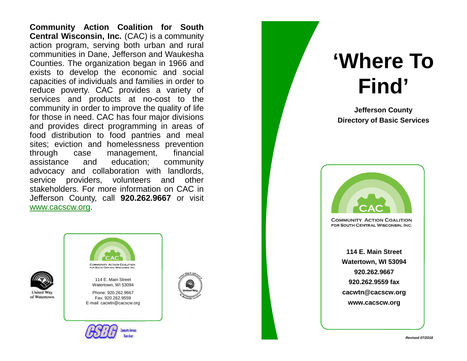**Community Action Coalition for South Central Wisconsin, Inc.** (CAC) is a community action program, serving both urban and rural communities in Dane, Jefferson and Waukesha Counties. The organization began in 1966 and exists to develop the economic and social capacities of individuals and families in order to reduce poverty. CAC provides a variety of services and products at no-cost to the community in order to improve the quality of life for those in need. CAC has four major divisions and provides direct programming in areas of food distribution to food pantries and meal sites; eviction and homelessness prevention through case management, financial assistance and education; community advocacy and collaboration with landlords, service providers, volunteers and other stakeholders. For more information on CAC in Jefferson County, call **920.262.9667** or visit www.cacscw.org.





114 E. Main Street Watertown, WI 53094

Phone: 920.262.9667 Fax: 920.262.9559 E-mail: cacwtn@cacscw.org





# **'Where To Find'**

**Jefferson County Directory of Basic Services**



**COMMUNITY ACTION COALITION** FOR SOUTH CENTRAL WISCONSIN, INC.

> **114 E. Main Street Watertown, WI 53094 920.262.9667 920.262.9559 fax cacwtn@cacscw.org www.cacscw.org**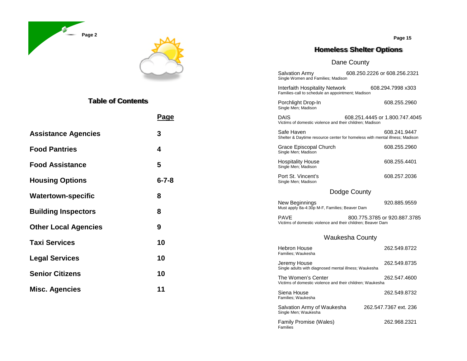



# **Table of Contents**

|                                 | Page        | <b>DAIS</b><br>608.251.4445 or 1.800.747.4045<br>Victims of domestic violence and their children; Madison  |              |  |
|---------------------------------|-------------|------------------------------------------------------------------------------------------------------------|--------------|--|
| <b>Assistance Agencies</b>      | 3           | Safe Haven<br>Shelter & Daytime resource center for homeless with mental illness; Madison                  | 608.241.9447 |  |
| <b>Food Pantries</b>            | 4           | Grace Episcopal Church<br>Single Men; Madison                                                              | 608.255.2960 |  |
| <b>Food Assistance</b>          | 5           | <b>Hospitality House</b><br>Single Men; Madison                                                            | 608.255.4401 |  |
| <b>Housing Options</b>          | $6 - 7 - 8$ | Port St. Vincent's<br>Single Men; Madison                                                                  | 608.257.2036 |  |
| <b>Watertown-specific</b>       | 8           | Dodge County                                                                                               |              |  |
|                                 |             | New Beginnings<br>Must apply 8a-4:30p M-F, Families; Beaver Dam                                            | 920.885.9559 |  |
| 8<br><b>Building Inspectors</b> |             | <b>PAVE</b><br>800.775.3785 or 920.887.3785<br>Victims of domestic violence and their children; Beaver Dam |              |  |
| <b>Other Local Agencies</b>     | 9           |                                                                                                            |              |  |
| <b>Taxi Services</b>            | 10          | <b>Waukesha County</b>                                                                                     |              |  |
|                                 |             | <b>Hebron House</b><br>Families; Waukesha                                                                  | 262.549.8722 |  |
| <b>Legal Services</b>           | 10          | Jeremy House                                                                                               | 262.549.8735 |  |
| <b>Senior Citizens</b>          | 10          | Single adults with diagnosed mental illness; Waukesha<br>The Women's Center                                | 262.547.4600 |  |
| <b>Misc. Agencies</b>           | 11          | Victims of domestic violence and their children; Waukesha                                                  |              |  |
|                                 |             | Siena House<br>Families; Waukesha                                                                          | 262.549.8732 |  |
|                                 |             | 262.547.7367 ext. 236<br>Salvation Army of Waukesha<br>Single Men; Waukesha                                |              |  |
|                                 |             | Family Promise (Wales)<br>Families                                                                         | 262.968.2321 |  |

**Page 15**

-In 608.255.2960

#### **Homeless Shelter Options**

608.250.2226 or 608.256.2321

#### Dane County

Interfaith Hospitality Network 608.294.7998 x303 Families -call to schedule an appointment; Madison

Salvation Army<br>Single Women and Families; Madison

Porchlight Drop Single Men; Madison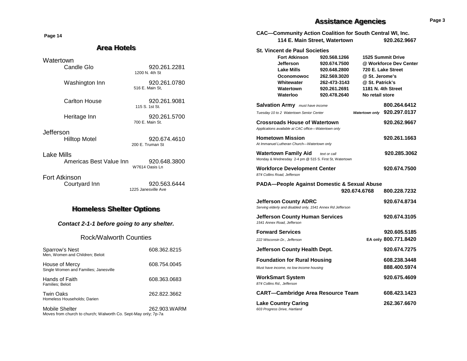**Page 14**

#### **Area Hotels**

Watertown

| Candle Glo                            | 920.261.2281<br>1200 N 4th St       |  |
|---------------------------------------|-------------------------------------|--|
| Washington Inn                        | 920.261.0780<br>516 E. Main St.     |  |
| Carlton House                         | 920.261.9081<br>115 S 1st St        |  |
| Heritage Inn                          | 920.261.5700<br>700 F Main St       |  |
| Jefferson<br>Hilltop Motel            | 920.674.4610<br>200 F Truman St     |  |
| Lake Mills<br>Americas Best Value Inn | 920.648.3800<br>W7614 Oasis Ln      |  |
| Fort Atkinson<br>Courtyard Inn        | 920.563.6444<br>1225 Janesville Ave |  |
| <b>Homeless Shelter Options</b>       |                                     |  |

*Contact 2-1-1 before going to any shelter.*

Rock/Walworth Counties

| Sparrow's Nest<br>Men, Women and Children; Beloit       | 608.362.8215 |
|---------------------------------------------------------|--------------|
| House of Mercy<br>Single Women and Families; Janesville | 608.754.0045 |
| Hands of Faith<br><b>Families</b> ; Beloit              | 608.363.0683 |
| <b>Twin Oaks</b><br>Homeless Households; Darien         | 262.822.3662 |
|                                                         |              |

Mobile Shelter 262.903.WARM Moves from church to church; Walworth Co. Sept-May only; 7p-7a

## **Assistance Agencies Page 3**

| <b>CAC-Community Action Coalition for South Central WI, Inc.</b><br>114 E. Main Street, Watertown<br>920.262.9667 |                                                                                                                                                                   |                                                                                                              |                                                      |                                                                                         |
|-------------------------------------------------------------------------------------------------------------------|-------------------------------------------------------------------------------------------------------------------------------------------------------------------|--------------------------------------------------------------------------------------------------------------|------------------------------------------------------|-----------------------------------------------------------------------------------------|
|                                                                                                                   | <b>St. Vincent de Paul Societies</b><br><b>Fort Atkinson</b><br><b>Jefferson</b><br><b>Lake Mills</b><br><b>Oconomowoc</b><br>Whitewater<br>Watertown<br>Waterloo | 920.568.1266<br>920.674.7500<br>920.648.2800<br>262.569.3020<br>262-473-3143<br>920.261.2691<br>920.478.2640 | @ St. Jerome's<br>@ St. Patrick's<br>No retail store | 1525 Summit Drive<br>@ Workforce Dev Center<br>720 E. Lake Street<br>1181 N. 4th Street |
|                                                                                                                   | <b>Salvation Army</b> must have income                                                                                                                            |                                                                                                              |                                                      | 800.264.6412                                                                            |
|                                                                                                                   | Tuesday 10 to 2 Watertown Senior Center                                                                                                                           |                                                                                                              | Watertown only                                       | 920.297.0137                                                                            |
|                                                                                                                   | <b>Crossroads House of Watertown</b><br>Applications available at CAC office-Watertown only                                                                       |                                                                                                              |                                                      | 920.262.9667                                                                            |
|                                                                                                                   | <b>Hometown Mission</b><br>At Immanuel Lutheran Church-Watertown only                                                                                             |                                                                                                              |                                                      | 920.261.1663                                                                            |
|                                                                                                                   | <b>Watertown Family Aid</b> text or call<br>Monday & Wednesday 2-4 pm @ 515 S. First St, Watertown                                                                |                                                                                                              |                                                      | 920.285.3062                                                                            |
|                                                                                                                   | <b>Workforce Development Center</b><br>874 Collins Road, Jefferson                                                                                                |                                                                                                              |                                                      | 920.674.7500                                                                            |
| <b>PADA-People Against Domestic &amp; Sexual Abuse</b>                                                            |                                                                                                                                                                   |                                                                                                              |                                                      |                                                                                         |
|                                                                                                                   |                                                                                                                                                                   |                                                                                                              | 920.674.6768                                         | 800.228.7232                                                                            |
|                                                                                                                   | <b>Jefferson County ADRC</b><br>Serving elderly and disabled only, 1541 Annex Rd Jefferson                                                                        |                                                                                                              |                                                      | 920.674.8734                                                                            |
|                                                                                                                   | <b>Jefferson County Human Services</b><br>1541 Annex Road, Jefferson                                                                                              |                                                                                                              |                                                      | 920.674.3105                                                                            |
|                                                                                                                   | <b>Forward Services</b>                                                                                                                                           |                                                                                                              |                                                      | 920.605.5185                                                                            |
|                                                                                                                   | 222 Wisconsin Dr., Jefferson                                                                                                                                      |                                                                                                              |                                                      | EA only 800.771.8420                                                                    |
|                                                                                                                   | Jefferson County Health Dept.                                                                                                                                     |                                                                                                              |                                                      | 920.674.7275                                                                            |
|                                                                                                                   | <b>Foundation for Rural Housing</b>                                                                                                                               |                                                                                                              |                                                      | 608.238.3448                                                                            |
|                                                                                                                   | Must have income, no low income housing                                                                                                                           |                                                                                                              |                                                      | 888.400.5974                                                                            |
|                                                                                                                   | <b>WorkSmart System</b><br>874 Collins Rd., Jefferson                                                                                                             |                                                                                                              |                                                      | 920.675.4609                                                                            |
|                                                                                                                   | <b>CART-Cambridge Area Resource Team</b>                                                                                                                          |                                                                                                              |                                                      | 608.423.1423                                                                            |
|                                                                                                                   | <b>Lake Country Caring</b><br>603 Progress Drive, Hartland                                                                                                        |                                                                                                              |                                                      | 262.367.6670                                                                            |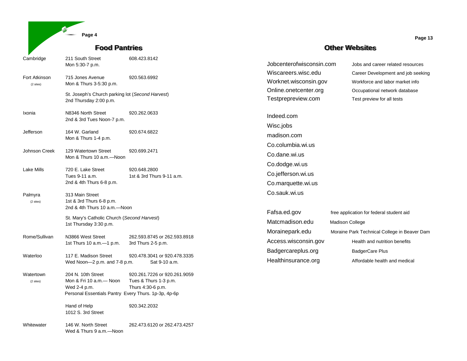|                            | Page 4                                                                                                                |                                                                            |
|----------------------------|-----------------------------------------------------------------------------------------------------------------------|----------------------------------------------------------------------------|
|                            | <b>Food Pantries</b>                                                                                                  |                                                                            |
| Cambridge                  | 211 South Street<br>Mon 5:30-7 p.m.                                                                                   | 608.423.8142                                                               |
| Fort Atkinson<br>(2 sites) | 715 Jones Avenue<br>Mon & Thurs 3-5:30 p.m.                                                                           | 920.563.6992                                                               |
|                            | St. Joseph's Church parking lot (Second Harvest)<br>2nd Thursday 2:00 p.m.                                            |                                                                            |
| Ixonia                     | N8346 North Street<br>2nd & 3rd Tues Noon-7 p.m.                                                                      | 920.262.0633                                                               |
| Jefferson                  | 164 W. Garland<br>Mon & Thurs 1-4 p.m.                                                                                | 920.674.6822                                                               |
| Johnson Creek              | 129 Watertown Street<br>Mon & Thurs 10 a.m.—Noon                                                                      | 920.699.2471                                                               |
| Lake Mills                 | 720 E. Lake Street<br>Tues 9-11 a.m.<br>2nd & 4th Thurs 6-8 p.m.                                                      | 920.648.2800<br>1st & 3rd Thurs 9-11 a.m.                                  |
| Palmyra<br>(2 sites)       | 313 Main Street<br>1st & 3rd Thurs 6-8 p.m.<br>2nd & 4th Thurs 10 a.m.-Noon                                           |                                                                            |
|                            | St. Mary's Catholic Church (Second Harvest)<br>1st Thursday 3:30 p.m.                                                 |                                                                            |
| Rome/Sullivan              | N3866 West Street<br>1st Thurs 10 a.m. - 1 p.m.                                                                       | 262.593.8745 or 262.593.8918<br>3rd Thurs 2-5 p.m.                         |
| Waterloo                   | 117 E. Madison Street<br>Wed Noon-2 p.m. and 7-8 p.m.                                                                 | 920.478.3041 or 920.478.3335<br>Sat 9-10 a.m.                              |
| Watertown<br>(2 sites)     | 204 N. 10th Street<br>Mon & Fri 10 a.m.- Noon<br>Wed 2-4 p.m.<br>Personal Essentials Pantry Every Thurs. 1p-3p, 4p-6p | 920.261.7226 or 920.261.9059<br>Tues & Thurs 1-3 p.m.<br>Thurs 4:30-6 p.m. |
|                            | Hand of Help<br>1012 S. 3rd Street                                                                                    | 920.342.2032                                                               |
| Whitewater                 | 146 W. North Street                                                                                                   | 262.473.6120 or 262.473.4257                                               |

Wed & Thurs 9 a.m.—Noon

#### **Other Websites**

Worknet.wisconsin.gov Workforce and labor market info Online.onetcenter.org **Occupational network database** Testprepreview.com Test preview for all tests

Indeed.com Wisc.jobs madison.com Co.columbia.wi.us Co.dane.wi.us Co.dodge.wi.us Co.jefferson.wi.us Co.marquette.wi.us

Jobcenterofwisconsin.com Jobs and career related resources Wiscareers.wisc.edu Career Development and job seeking

Co.sauk.wi.us Fafsa.ed.gov free application for federal student aid Matcmadison.edu Madison College Morainepark.edu Moraine Park Technical College in Beaver Dam Access.wisconsin.gov Health and nutrition benefits Badgercareplus.org BadgerCare Plus Healthinsurance.org **Affordable health and medical** 

**Page 13**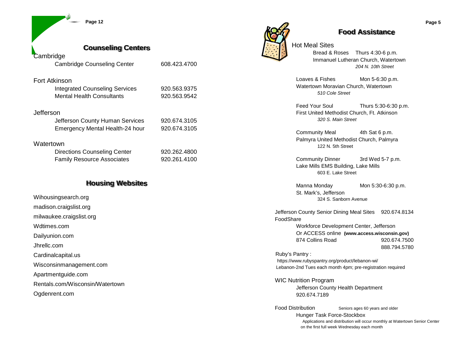**Page 12**

| <b>Counseling Centers</b>             |              |
|---------------------------------------|--------------|
| Cambridge                             |              |
| <b>Cambridge Counseling Center</b>    | 608.423.4700 |
| <b>Fort Atkinson</b>                  |              |
| <b>Integrated Counseling Services</b> | 920.563.9375 |
| <b>Mental Health Consultants</b>      | 920.563.9542 |
| Jefferson                             |              |
| Jefferson County Human Services       | 920.674.3105 |
| Emergency Mental Health-24 hour       | 920.674.3105 |
| $101 - 4 - 12$                        |              |

#### **Watertown**

| <b>Directions Counseling Center</b> | 920.262.4800 |
|-------------------------------------|--------------|
| <b>Family Resource Associates</b>   | 920.261.4100 |

#### **Housing Websites**

Wihousingsearch.org madison.craigslist.org milwaukee.craigslist.org Wdtimes.com Dailyunion.com Jhrellc.com Cardinalcapital.us Wisconsinmanagement.com Apartmentguide.com Rentals.com/Wisconsin/Watertown Ogdenrent.com



#### **Food Assistance**

Hot Meal Sites

Bread & Roses Thurs 4:30-6 p.m. Immanuel Lutheran Church, Watertown *204 N. 10th Street*

Loaves & Fishes Mon 5-6:30 p.m. Watertown Moravian Church, Watertown *510 Cole Street*

Feed Your Soul Thurs 5:30-6:30 p.m. First United Methodist Church, Ft. Atkinson *320 S. Main Street*

Community Meal 4th Sat 6 p.m. Palmyra United Methodist Church, Palmyra 122 N. 5th Street

Community Dinner 3rd Wed 5-7 p.m. Lake Mills EMS Building, Lake Mills 603 E. Lake Street

Manna Monday Mon 5:30-6:30 p.m. St. Mark's, Jefferson 324 S. Sanborn Avenue

Jefferson County Senior Dining Meal Sites 920.674.8134 FoodShare Workforce Development Center, Jefferson Or ACCESS online **(www.access.wisconsin.gov)** 874 Collins Road 920.674.7500 888.794.5780 Ruby's Pantry :

https://www.rubyspantry.org/product/lebanon-wi/ Lebanon-2nd Tues each month 4pm; pre-registration required

WIC Nutrition Program Jefferson County Health Department 920.674.7189

Food Distribution Seniors ages 60 years and older Hunger Task Force-Stockbox Applications and distribution will occur monthly at Watertown Senior Center on the first full week Wednesday each month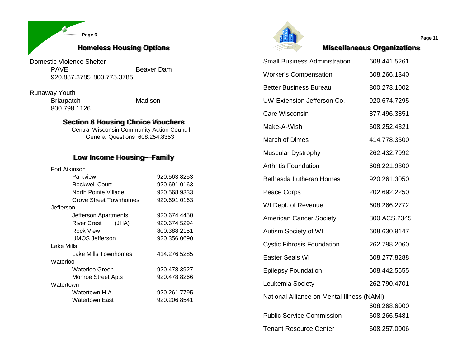

Domestic Violence Shelter Beaver Dam 920.887.3785 800.775.3785

Runaway Youth Briarpatch Madison 800.798.1126

#### **Section 8 Housing Choice Vouchers**

Central Wisconsin Community Action Council General Questions 608.254.8353

# **Low Income Housing—Family**

|  | Fort Atkinson |  |
|--|---------------|--|
|--|---------------|--|

| Parkview                      | 920.563.8253 |
|-------------------------------|--------------|
| Rockwell Court                | 920.691.0163 |
| North Pointe Village          | 920.568.9333 |
| <b>Grove Street Townhomes</b> | 920.691.0163 |
| Jefferson                     |              |
| Jefferson Apartments          | 920.674.4450 |
| River Crest (JHA)             | 920.674.5294 |
| Rock View                     | 800.388.2151 |
| UMOS Jefferson                | 920.356.0690 |
| Lake Mills                    |              |
| Lake Mills Townhomes          | 414.276.5285 |
| Waterloo                      |              |
| Waterloo Green                | 920.478.3927 |
| Monroe Street Apts            | 920.478.8266 |
| Watertown                     |              |
| Watertown H.A.                | 920.261.7795 |
| Watertown East                | 920.206.8541 |



**Miscellaneous Organizations**

| <b>Small Business Administration</b>       | 608.441.5261                 |
|--------------------------------------------|------------------------------|
| <b>Worker's Compensation</b>               | 608.266.1340                 |
| <b>Better Business Bureau</b>              | 800.273.1002                 |
| UW-Extension Jefferson Co.                 | 920.674.7295                 |
| Care Wisconsin                             | 877.496.3851                 |
| Make-A-Wish                                | 608.252.4321                 |
| <b>March of Dimes</b>                      | 414.778.3500                 |
| <b>Muscular Dystrophy</b>                  | 262.432.7992                 |
| <b>Arthritis Foundation</b>                | 608.221.9800                 |
| <b>Bethesda Lutheran Homes</b>             | 920.261.3050                 |
| Peace Corps                                | 202.692.2250                 |
| WI Dept. of Revenue                        | 608.266.2772                 |
| <b>American Cancer Society</b>             | 800.ACS.2345                 |
| <b>Autism Society of WI</b>                | 608.630.9147                 |
| <b>Cystic Fibrosis Foundation</b>          | 262.798.2060                 |
| <b>Easter Seals WI</b>                     | 608.277.8288                 |
| <b>Epilepsy Foundation</b>                 | 608.442.5555                 |
| Leukemia Society                           | 262.790.4701                 |
| National Alliance on Mental Illness (NAMI) |                              |
| <b>Public Service Commission</b>           | 608.268.6000<br>608.266.5481 |
| <b>Tenant Resource Center</b>              | 608.257.0006                 |

**Page 11**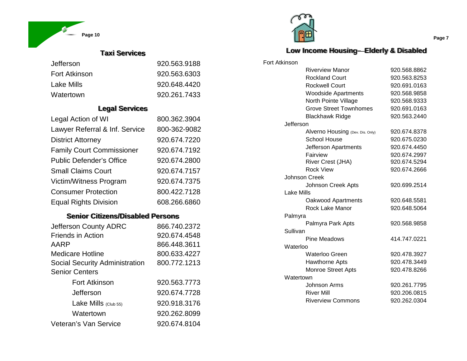

# **Taxi Services**

| Jefferson            | 920.563.9188 |
|----------------------|--------------|
| <b>Fort Atkinson</b> | 920.563.6303 |
| Lake Mills           | 920.648.4420 |
| Watertown            | 920.261.7433 |

#### **Legal Services**

| Legal Action of WI               | 800.362.3904 |
|----------------------------------|--------------|
| Lawyer Referral & Inf. Service   | 800-362-9082 |
| <b>District Attorney</b>         | 920.674.7220 |
| <b>Family Court Commissioner</b> | 920.674.7192 |
| <b>Public Defender's Office</b>  | 920.674.2800 |
| <b>Small Claims Court</b>        | 920.674.7157 |
| Victim/Witness Program           | 920.674.7375 |
| <b>Consumer Protection</b>       | 800.422.7128 |
| <b>Equal Rights Division</b>     | 608.266.6860 |

# **Senior Citizens/Disabled Persons**

| Jefferson County ADRC                 | 866.740.2372 |
|---------------------------------------|--------------|
| <b>Friends in Action</b>              | 920.674.4548 |
| AARP                                  | 866.448.3611 |
| <b>Medicare Hotline</b>               | 800.633.4227 |
| <b>Social Security Administration</b> | 800.772.1213 |
| <b>Senior Centers</b>                 |              |
| <b>Fort Atkinson</b>                  | 920.563.7773 |
| Jefferson                             | 920.674.7728 |
| Lake Mills $(CIub 55)$                | 920.918.3176 |
| Watertown                             | 920.262.8099 |
| Veteran's Van Service                 | 920.674.8104 |



Fort

## **Low Income Housing—Elderly & Disabled**

| Atkinson   |                                  |              |
|------------|----------------------------------|--------------|
|            | <b>Riverview Manor</b>           | 920.568.8862 |
|            | <b>Rockland Court</b>            | 920.563.8253 |
|            | <b>Rockwell Court</b>            | 920.691.0163 |
|            | <b>Woodside Apartments</b>       | 920.568.9858 |
|            | North Pointe Village             | 920.568.9333 |
|            | <b>Grove Street Townhomes</b>    | 920.691.0163 |
|            | <b>Blackhawk Ridge</b>           | 920.563.2440 |
| Jefferson  |                                  |              |
|            | Alverno Housing (Dev. Dis. Only) | 920.674.8378 |
|            | <b>School House</b>              | 920.675.0230 |
|            | Jefferson Apartments             | 920.674.4450 |
|            | Fairview                         | 920.674.2997 |
|            | River Crest (JHA)                | 920.674.5294 |
|            | <b>Rock View</b>                 | 920.674.2666 |
|            | <b>Johnson Creek</b>             |              |
|            | Johnson Creek Apts               | 920.699.2514 |
| Lake Mills |                                  |              |
|            | Oakwood Apartments               | 920.648.5581 |
|            | Rock Lake Manor                  | 920.648.5064 |
| Palmyra    |                                  |              |
|            | Palmyra Park Apts                | 920.568.9858 |
| Sullivan   |                                  |              |
|            | Pine Meadows                     | 414.747.0221 |
| Waterloo   |                                  |              |
|            | Waterloo Green                   | 920.478.3927 |
|            | <b>Hawthorne Apts</b>            | 920.478.3449 |
|            | Monroe Street Apts               | 920.478.8266 |
|            | Watertown                        |              |
|            | Johnson Arms                     | 920.261.7795 |
|            | <b>River Mill</b>                | 920.206.0815 |
|            | <b>Riverview Commons</b>         | 920.262.0304 |

**Page 7**